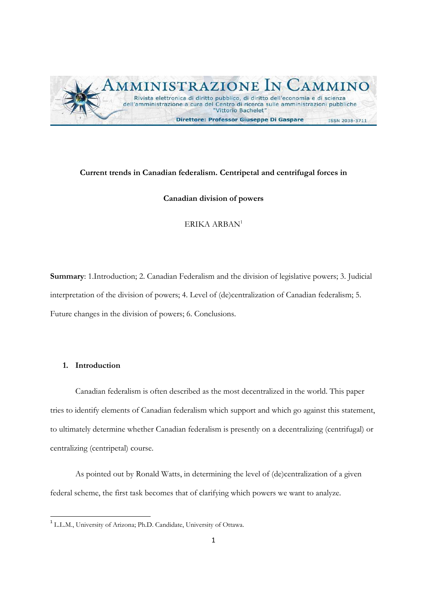

# **Current trends in Canadian federalism. Centripetal and centrifugal forces in**

# **Canadian division of powers**

ERIKA ARBAN1

**Summary**: 1.Introduction; 2. Canadian Federalism and the division of legislative powers; 3. Judicial interpretation of the division of powers; 4. Level of (de)centralization of Canadian federalism; 5. Future changes in the division of powers; 6. Conclusions.

# **1. Introduction**

Canadian federalism is often described as the most decentralized in the world. This paper tries to identify elements of Canadian federalism which support and which go against this statement, to ultimately determine whether Canadian federalism is presently on a decentralizing (centrifugal) or centralizing (centripetal) course.

As pointed out by Ronald Watts, in determining the level of (de)centralization of a given federal scheme, the first task becomes that of clarifying which powers we want to analyze.

<sup>1</sup> L.L.M., University of Arizona; Ph.D. Candidate, University of Ottawa.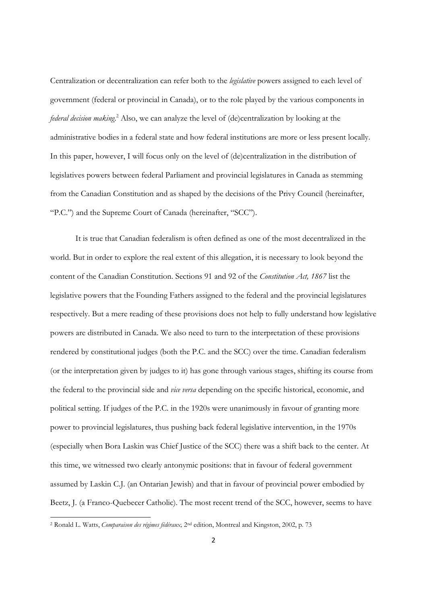Centralization or decentralization can refer both to the *legislative* powers assigned to each level of government (federal or provincial in Canada), or to the role played by the various components in federal decision making.<sup>2</sup> Also, we can analyze the level of (de)centralization by looking at the administrative bodies in a federal state and how federal institutions are more or less present locally. In this paper, however, I will focus only on the level of (de)centralization in the distribution of legislatives powers between federal Parliament and provincial legislatures in Canada as stemming from the Canadian Constitution and as shaped by the decisions of the Privy Council (hereinafter, "P.C.") and the Supreme Court of Canada (hereinafter, "SCC").

It is true that Canadian federalism is often defined as one of the most decentralized in the world. But in order to explore the real extent of this allegation, it is necessary to look beyond the content of the Canadian Constitution. Sections 91 and 92 of the *Constitution Act, 1867* list the legislative powers that the Founding Fathers assigned to the federal and the provincial legislatures respectively. But a mere reading of these provisions does not help to fully understand how legislative powers are distributed in Canada. We also need to turn to the interpretation of these provisions rendered by constitutional judges (both the P.C. and the SCC) over the time. Canadian federalism (or the interpretation given by judges to it) has gone through various stages, shifting its course from the federal to the provincial side and *vice versa* depending on the specific historical, economic, and political setting. If judges of the P.C. in the 1920s were unanimously in favour of granting more power to provincial legislatures, thus pushing back federal legislative intervention, in the 1970s (especially when Bora Laskin was Chief Justice of the SCC) there was a shift back to the center. At this time, we witnessed two clearly antonymic positions: that in favour of federal government assumed by Laskin C.J. (an Ontarian Jewish) and that in favour of provincial power embodied by Beetz, J. (a Franco-Quebecer Catholic). The most recent trend of the SCC, however, seems to have

<sup>2</sup> Ronald L. Watts, *Comparaison des régimes fédéraux,* 2nd edition, Montreal and Kingston, 2002, p. 73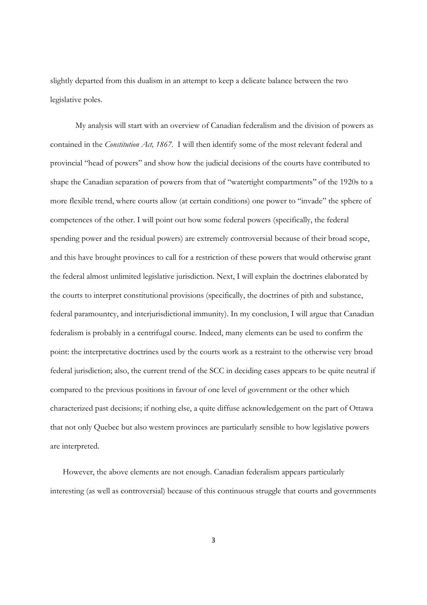slightly departed from this dualism in an attempt to keep a delicate balance between the two legislative poles.

My analysis will start with an overview of Canadian federalism and the division of powers as contained in the *Constitution Act, 1867*. I will then identify some of the most relevant federal and provincial "head of powers" and show how the judicial decisions of the courts have contributed to shape the Canadian separation of powers from that of "watertight compartments" of the 1920s to a more flexible trend, where courts allow (at certain conditions) one power to "invade" the sphere of competences of the other. I will point out how some federal powers (specifically, the federal spending power and the residual powers) are extremely controversial because of their broad scope, and this have brought provinces to call for a restriction of these powers that would otherwise grant the federal almost unlimited legislative jurisdiction. Next, I will explain the doctrines elaborated by the courts to interpret constitutional provisions (specifically, the doctrines of pith and substance, federal paramountcy, and interjurisdictional immunity). In my conclusion, I will argue that Canadian federalism is probably in a centrifugal course. Indeed, many elements can be used to confirm the point: the interpretative doctrines used by the courts work as a restraint to the otherwise very broad federal jurisdiction; also, the current trend of the SCC in deciding cases appears to be quite neutral if compared to the previous positions in favour of one level of government or the other which characterized past decisions; if nothing else, a quite diffuse acknowledgement on the part of Ottawa that not only Quebec but also western provinces are particularly sensible to how legislative powers are interpreted.

However, the above elements are not enough. Canadian federalism appears particularly interesting (as well as controversial) because of this continuous struggle that courts and governments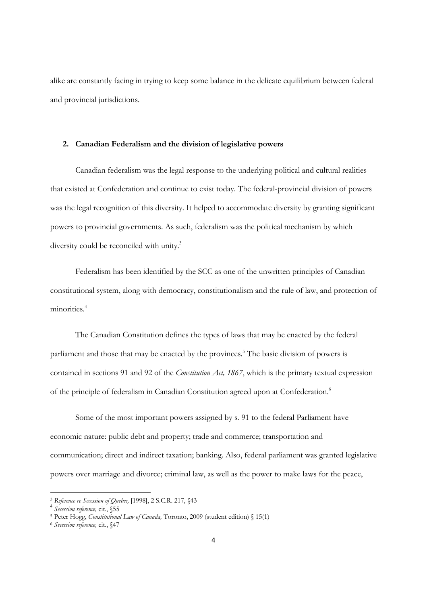alike are constantly facing in trying to keep some balance in the delicate equilibrium between federal and provincial jurisdictions.

# **2. Canadian Federalism and the division of legislative powers**

Canadian federalism was the legal response to the underlying political and cultural realities that existed at Confederation and continue to exist today. The federal-provincial division of powers was the legal recognition of this diversity. It helped to accommodate diversity by granting significant powers to provincial governments. As such, federalism was the political mechanism by which diversity could be reconciled with unity.<sup>3</sup>

Federalism has been identified by the SCC as one of the unwritten principles of Canadian constitutional system, along with democracy, constitutionalism and the rule of law, and protection of minorities.<sup>4</sup>

The Canadian Constitution defines the types of laws that may be enacted by the federal parliament and those that may be enacted by the provinces.<sup>5</sup> The basic division of powers is contained in sections 91 and 92 of the *Constitution Act, 1867*, which is the primary textual expression of the principle of federalism in Canadian Constitution agreed upon at Confederation.<sup>6</sup>

Some of the most important powers assigned by s. 91 to the federal Parliament have economic nature: public debt and property; trade and commerce; transportation and communication; direct and indirect taxation; banking. Also, federal parliament was granted legislative powers over marriage and divorce; criminal law, as well as the power to make laws for the peace,

<sup>3</sup> *Reference re Secession of Quebec,* [1998], 2 S.C.R. 217, §43 <sup>4</sup> *Secession reference,* cit., §55

<sup>5</sup> Peter Hogg, *Constitutional Law of Canada,* Toronto, 2009 (student edition) § 15(1) 6 *Secession reference,* cit., §47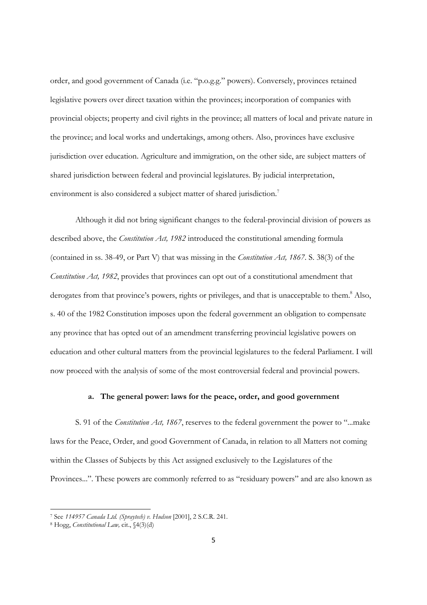order, and good government of Canada (i.e. "p.o.g.g." powers). Conversely, provinces retained legislative powers over direct taxation within the provinces; incorporation of companies with provincial objects; property and civil rights in the province; all matters of local and private nature in the province; and local works and undertakings, among others. Also, provinces have exclusive jurisdiction over education. Agriculture and immigration, on the other side, are subject matters of shared jurisdiction between federal and provincial legislatures. By judicial interpretation, environment is also considered a subject matter of shared jurisdiction.<sup>7</sup>

Although it did not bring significant changes to the federal-provincial division of powers as described above, the *Constitution Act, 1982* introduced the constitutional amending formula (contained in ss. 38-49, or Part V) that was missing in the *Constitution Act, 1867*. S. 38(3) of the *Constitution Act, 1982*, provides that provinces can opt out of a constitutional amendment that derogates from that province's powers, rights or privileges, and that is unacceptable to them.<sup>8</sup> Also, s. 40 of the 1982 Constitution imposes upon the federal government an obligation to compensate any province that has opted out of an amendment transferring provincial legislative powers on education and other cultural matters from the provincial legislatures to the federal Parliament. I will now proceed with the analysis of some of the most controversial federal and provincial powers.

# **a. The general power: laws for the peace, order, and good government**

S. 91 of the *Constitution Act, 1867*, reserves to the federal government the power to "...make laws for the Peace, Order, and good Government of Canada, in relation to all Matters not coming within the Classes of Subjects by this Act assigned exclusively to the Legislatures of the Provinces...". These powers are commonly referred to as "residuary powers" and are also known as

<sup>7</sup> See *114957 Canada Ltd. (Spraytech) v. Hudson* [2001], 2 S.C.R. 241. 8 Hogg, *Constitutional Law,* cit., §4(3)(d)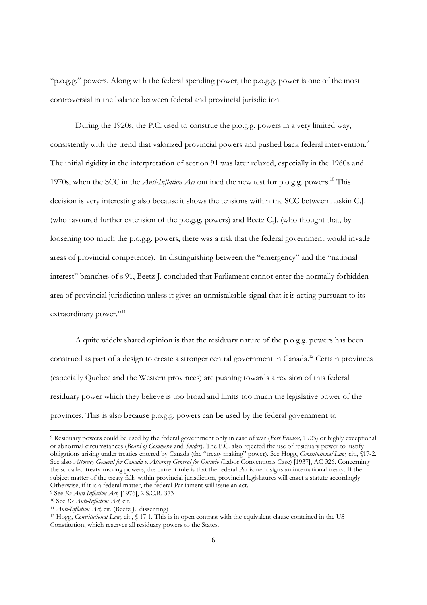"p.o.g.g." powers. Along with the federal spending power, the p.o.g.g. power is one of the most controversial in the balance between federal and provincial jurisdiction.

During the 1920s, the P.C. used to construe the p.o.g.g. powers in a very limited way, consistently with the trend that valorized provincial powers and pushed back federal intervention.<sup>9</sup> The initial rigidity in the interpretation of section 91 was later relaxed, especially in the 1960s and 1970s, when the SCC in the *Anti-Inflation Act* outlined the new test for p.o.g.g. powers.10 This decision is very interesting also because it shows the tensions within the SCC between Laskin C.J. (who favoured further extension of the p.o.g.g. powers) and Beetz C.J. (who thought that, by loosening too much the p.o.g.g. powers, there was a risk that the federal government would invade areas of provincial competence). In distinguishing between the "emergency" and the "national interest" branches of s.91, Beetz J. concluded that Parliament cannot enter the normally forbidden area of provincial jurisdiction unless it gives an unmistakable signal that it is acting pursuant to its extraordinary power."<sup>11</sup>

A quite widely shared opinion is that the residuary nature of the p.o.g.g. powers has been construed as part of a design to create a stronger central government in Canada.12 Certain provinces (especially Quebec and the Western provinces) are pushing towards a revision of this federal residuary power which they believe is too broad and limits too much the legislative power of the provinces. This is also because p.o.g.g. powers can be used by the federal government to

<sup>9</sup> Residuary powers could be used by the federal government only in case of war (*Fort Frances,* 1923) or highly exceptional or abnormal circumstances (*Board of Commerce* and *Snider*). The P.C. also rejected the use of residuary power to justify obligations arising under treaties entered by Canada (the "treaty making" power). See Hogg, *Constitutional Law,* cit., §17-2. See also *Attorney General for Canada v. Attorney General for Ontario* (Labor Conventions Case) [1937], AC 326. Concerning the so called treaty-making powers, the current rule is that the federal Parliament signs an international treaty. If the subject matter of the treaty falls within provincial jurisdiction, provincial legislatures will enact a statute accordingly. Otherwise, if it is a federal matter, the federal Parliament will issue an act.

<sup>&</sup>lt;sup>9</sup> See Re *Anti-Inflation Act*, [1976], 2 S.C.R. 373<br><sup>10</sup> See Re *Anti-Inflation Act*, cit.<br><sup>11</sup> *Anti-Inflation Act*, cit. (Beetz J., dissenting)<br><sup>12</sup> Hogg, *Constitutional Law*, cit., § 17.1. This is in open contrast wi Constitution, which reserves all residuary powers to the States.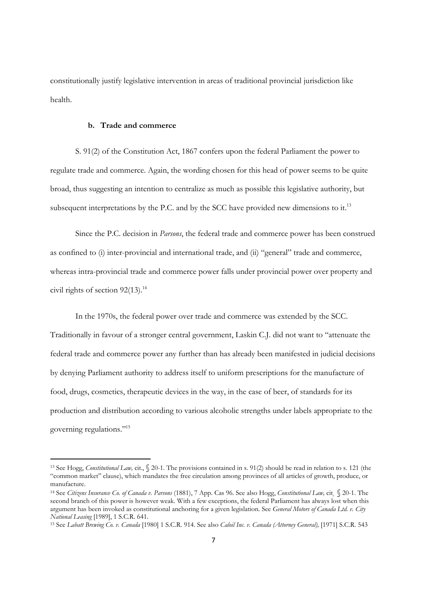constitutionally justify legislative intervention in areas of traditional provincial jurisdiction like health.

#### **b. Trade and commerce**

S. 91(2) of the Constitution Act, 1867 confers upon the federal Parliament the power to regulate trade and commerce. Again, the wording chosen for this head of power seems to be quite broad, thus suggesting an intention to centralize as much as possible this legislative authority, but subsequent interpretations by the P.C. and by the SCC have provided new dimensions to it.<sup>13</sup>

Since the P.C. decision in *Parsons*, the federal trade and commerce power has been construed as confined to (i) inter-provincial and international trade, and (ii) "general" trade and commerce, whereas intra-provincial trade and commerce power falls under provincial power over property and civil rights of section  $92(13).$ <sup>14</sup>

In the 1970s, the federal power over trade and commerce was extended by the SCC. Traditionally in favour of a stronger central government, Laskin C.J. did not want to "attenuate the federal trade and commerce power any further than has already been manifested in judicial decisions by denying Parliament authority to address itself to uniform prescriptions for the manufacture of food, drugs, cosmetics, therapeutic devices in the way, in the case of beer, of standards for its production and distribution according to various alcoholic strengths under labels appropriate to the governing regulations."15

<sup>13</sup> See Hogg, *Constitutional Law,* cit., § 20-1. The provisions contained in s. 91(2) should be read in relation to s. 121 (the "common market" clause), which mandates the free circulation among provinces of all articles of growth, produce, or manufacture.

<sup>14</sup> See *Citizens Insurance Co. of Canada v. Parsons* (1881), 7 App. Cas 96. See also Hogg, *Constitutional Law,* cit¸ § 20-1. The second branch of this power is however weak. With a few exceptions, the federal Parliament has always lost when this argument has been invoked as constitutional anchoring for a given legislation. See *General Motors of Canada Ltd. v. City National Leasing* [1989], 1 S.C.R. 641.<br><sup>15</sup> See *Labatt Brewing Co. v. Canada* [1980] 1 S.C.R. 914. See also *Caloil Inc. v. Canada (Attorney General)*, [1971] S.C.R. 543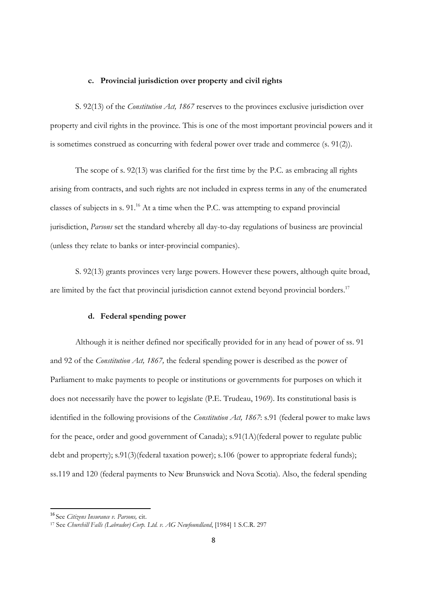#### **c. Provincial jurisdiction over property and civil rights**

S. 92(13) of the *Constitution Act, 1867* reserves to the provinces exclusive jurisdiction over property and civil rights in the province. This is one of the most important provincial powers and it is sometimes construed as concurring with federal power over trade and commerce (s. 91(2)).

The scope of s. 92(13) was clarified for the first time by the P.C. as embracing all rights arising from contracts, and such rights are not included in express terms in any of the enumerated classes of subjects in s.  $91<sup>16</sup>$  At a time when the P.C. was attempting to expand provincial jurisdiction, *Parsons* set the standard whereby all day-to-day regulations of business are provincial (unless they relate to banks or inter-provincial companies).

S. 92(13) grants provinces very large powers. However these powers, although quite broad, are limited by the fact that provincial jurisdiction cannot extend beyond provincial borders.<sup>17</sup>

# **d. Federal spending power**

Although it is neither defined nor specifically provided for in any head of power of ss. 91 and 92 of the *Constitution Act, 1867,* the federal spending power is described as the power of Parliament to make payments to people or institutions or governments for purposes on which it does not necessarily have the power to legislate (P.E. Trudeau, 1969). Its constitutional basis is identified in the following provisions of the *Constitution Act, 1867*: s.91 (federal power to make laws for the peace, order and good government of Canada); s.91(1A)(federal power to regulate public debt and property); s.91(3)(federal taxation power); s.106 (power to appropriate federal funds); ss.119 and 120 (federal payments to New Brunswick and Nova Scotia). Also, the federal spending

<sup>&</sup>lt;sup>16</sup> See Citizens Insurance v. Parsons, cit.

<sup>16</sup> See *Citizens Insurance v. Parsons,* cit. 17 See *Churchill Falls (Labrador) Corp. Ltd. v. AG Newfoundland*, [1984] 1 S.C.R. 297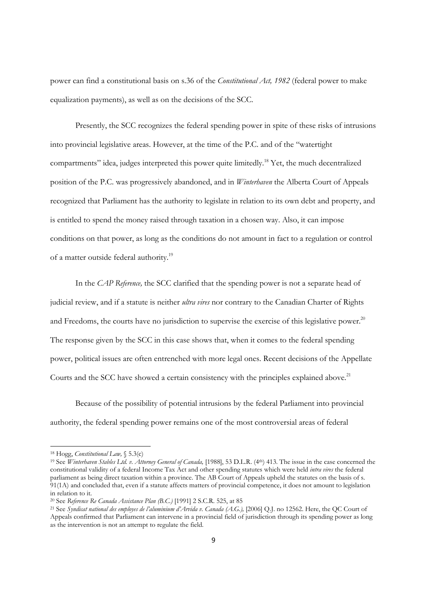power can find a constitutional basis on s.36 of the *Constitutional Act, 1982* (federal power to make equalization payments), as well as on the decisions of the SCC.

Presently, the SCC recognizes the federal spending power in spite of these risks of intrusions into provincial legislative areas. However, at the time of the P.C. and of the "watertight compartments" idea, judges interpreted this power quite limitedly.18 Yet, the much decentralized position of the P.C. was progressively abandoned, and in *Winterhaven* the Alberta Court of Appeals recognized that Parliament has the authority to legislate in relation to its own debt and property, and is entitled to spend the money raised through taxation in a chosen way. Also, it can impose conditions on that power, as long as the conditions do not amount in fact to a regulation or control of a matter outside federal authority.19

In the *CAP Reference,* the SCC clarified that the spending power is not a separate head of judicial review, and if a statute is neither *ultra vires* nor contrary to the Canadian Charter of Rights and Freedoms, the courts have no jurisdiction to supervise the exercise of this legislative power.<sup>20</sup> The response given by the SCC in this case shows that, when it comes to the federal spending power, political issues are often entrenched with more legal ones. Recent decisions of the Appellate Courts and the SCC have showed a certain consistency with the principles explained above.<sup>21</sup>

Because of the possibility of potential intrusions by the federal Parliament into provincial authority, the federal spending power remains one of the most controversial areas of federal

 18 Hogg, *Constitutional Law,* § 5.3(c)

<sup>19</sup> See *Winterhaven Stables Ltd. v. Attorney General of Canada,* [1988], 53 D.L.R. (4th) 413. The issue in the case concerned the constitutional validity of a federal Income Tax Act and other spending statutes which were held *intra vires* the federal parliament as being direct taxation within a province. The AB Court of Appeals upheld the statutes on the basis of s. 91(1A) and concluded that, even if a statute affects matters of provincial competence, it does not amount to legislation in relation to it.<br><sup>20</sup> See Reference Re Canada Assistance Plan (B.C.) [1991] 2 S.C.R. 525, at 85

<sup>&</sup>lt;sup>21</sup> See *Syndicat national des employes de l'aluminium d'Arvida v. Canada (A.G.)*, [2006] Q.J. no 12562. Here, the QC Court of Appeals confirmed that Parliament can intervene in a provincial field of jurisdiction through its spending power as long as the intervention is not an attempt to regulate the field.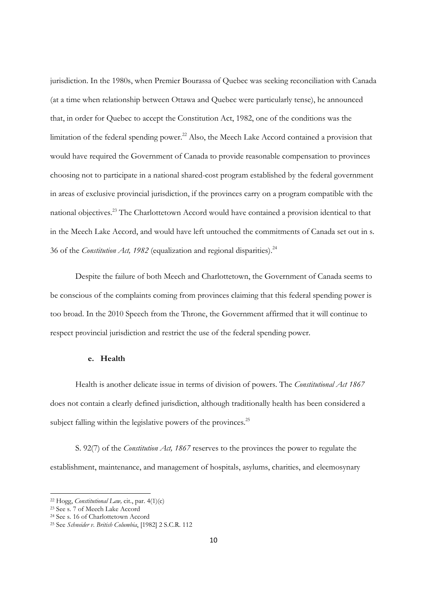jurisdiction. In the 1980s, when Premier Bourassa of Quebec was seeking reconciliation with Canada (at a time when relationship between Ottawa and Quebec were particularly tense), he announced that, in order for Quebec to accept the Constitution Act, 1982, one of the conditions was the limitation of the federal spending power.<sup>22</sup> Also, the Meech Lake Accord contained a provision that would have required the Government of Canada to provide reasonable compensation to provinces choosing not to participate in a national shared-cost program established by the federal government in areas of exclusive provincial jurisdiction, if the provinces carry on a program compatible with the national objectives.23 The Charlottetown Accord would have contained a provision identical to that in the Meech Lake Accord, and would have left untouched the commitments of Canada set out in s. 36 of the *Constitution Act, 1982* (equalization and regional disparities).<sup>24</sup>

Despite the failure of both Meech and Charlottetown, the Government of Canada seems to be conscious of the complaints coming from provinces claiming that this federal spending power is too broad. In the 2010 Speech from the Throne, the Government affirmed that it will continue to respect provincial jurisdiction and restrict the use of the federal spending power.

# **e. Health**

Health is another delicate issue in terms of division of powers. The *Constitutional Act 1867*  does not contain a clearly defined jurisdiction, although traditionally health has been considered a subject falling within the legislative powers of the provinces.<sup>25</sup>

S. 92(7) of the *Constitution Act, 1867* reserves to the provinces the power to regulate the establishment, maintenance, and management of hospitals, asylums, charities, and eleemosynary

<sup>&</sup>lt;sup>22</sup> Hogg, *Constitutional Law*, cit., par. 4(1)(c)<br><sup>23</sup> See s. 7 of Meech Lake Accord

<sup>24</sup> See s. 16 of Charlottetown Accord

<sup>25</sup> See *Schneider v. British Columbia*, [1982] 2 S.C.R. 112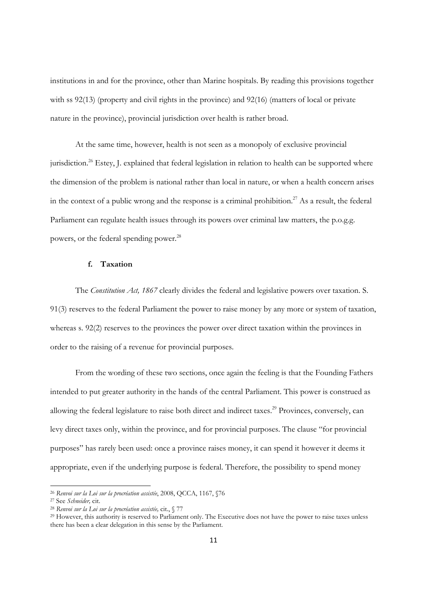institutions in and for the province, other than Marine hospitals. By reading this provisions together with ss 92(13) (property and civil rights in the province) and 92(16) (matters of local or private nature in the province), provincial jurisdiction over health is rather broad.

At the same time, however, health is not seen as a monopoly of exclusive provincial jurisdiction.<sup>26</sup> Estey, J. explained that federal legislation in relation to health can be supported where the dimension of the problem is national rather than local in nature, or when a health concern arises in the context of a public wrong and the response is a criminal prohibition.<sup>27</sup> As a result, the federal Parliament can regulate health issues through its powers over criminal law matters, the p.o.g.g. powers, or the federal spending power.<sup>28</sup>

# **f. Taxation**

The *Constitution Act, 1867* clearly divides the federal and legislative powers over taxation. S. 91(3) reserves to the federal Parliament the power to raise money by any more or system of taxation, whereas s. 92(2) reserves to the provinces the power over direct taxation within the provinces in order to the raising of a revenue for provincial purposes.

From the wording of these two sections, once again the feeling is that the Founding Fathers intended to put greater authority in the hands of the central Parliament. This power is construed as allowing the federal legislature to raise both direct and indirect taxes.<sup>29</sup> Provinces, conversely, can levy direct taxes only, within the province, and for provincial purposes. The clause "for provincial purposes" has rarely been used: once a province raises money, it can spend it however it deems it appropriate, even if the underlying purpose is federal. Therefore, the possibility to spend money

<sup>&</sup>lt;sup>26</sup> Renvoi sur la Loi sur la procréation assistée, 2008, QCCA, 1167,  $\sqrt{576}$ <br><sup>27</sup> See *Schneider*, cit.<br><sup>28</sup> Renvoi sur la Loi sur la procréation assistée, cit.,  $\sqrt{577}$ <br><sup>29</sup> However, this authority is reserved to Pa there has been a clear delegation in this sense by the Parliament.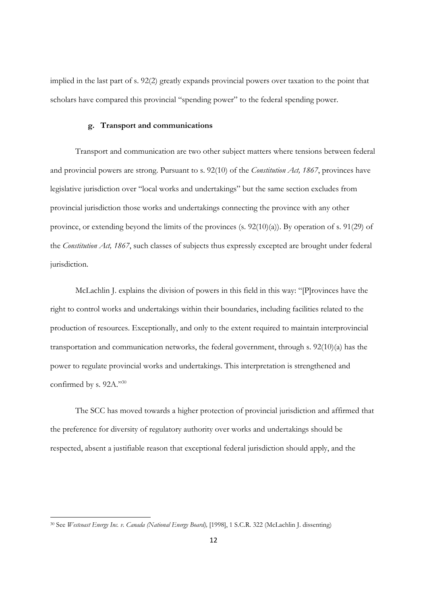implied in the last part of s. 92(2) greatly expands provincial powers over taxation to the point that scholars have compared this provincial "spending power" to the federal spending power.

# **g. Transport and communications**

Transport and communication are two other subject matters where tensions between federal and provincial powers are strong. Pursuant to s. 92(10) of the *Constitution Act, 1867*, provinces have legislative jurisdiction over "local works and undertakings" but the same section excludes from provincial jurisdiction those works and undertakings connecting the province with any other province, or extending beyond the limits of the provinces (s. 92(10)(a)). By operation of s. 91(29) of the *Constitution Act, 1867*, such classes of subjects thus expressly excepted are brought under federal jurisdiction.

McLachlin J. explains the division of powers in this field in this way: "[P]rovinces have the right to control works and undertakings within their boundaries, including facilities related to the production of resources. Exceptionally, and only to the extent required to maintain interprovincial transportation and communication networks, the federal government, through s. 92(10)(a) has the power to regulate provincial works and undertakings. This interpretation is strengthened and confirmed by s. 92A."30

The SCC has moved towards a higher protection of provincial jurisdiction and affirmed that the preference for diversity of regulatory authority over works and undertakings should be respected, absent a justifiable reason that exceptional federal jurisdiction should apply, and the

<sup>30</sup> See *Westcoast Energy Inc. v. Canada (National Energy Board),* [1998], 1 S.C.R. 322 (McLachlin J. dissenting)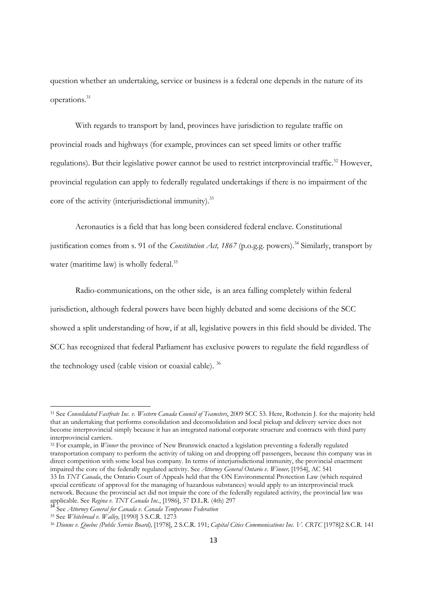question whether an undertaking, service or business is a federal one depends in the nature of its operations.31

With regards to transport by land, provinces have jurisdiction to regulate traffic on provincial roads and highways (for example, provinces can set speed limits or other traffic regulations). But their legislative power cannot be used to restrict interprovincial traffic.<sup>32</sup> However, provincial regulation can apply to federally regulated undertakings if there is no impairment of the core of the activity (interjurisdictional immunity).<sup>33</sup>

Aeronautics is a field that has long been considered federal enclave. Constitutional justification comes from s. 91 of the *Constitution Act, 1867* (p.o.g.g. powers).<sup>34</sup> Similarly, transport by water (maritime law) is wholly federal.<sup>35</sup>

Radio-communications, on the other side, is an area falling completely within federal jurisdiction, although federal powers have been highly debated and some decisions of the SCC showed a split understanding of how, if at all, legislative powers in this field should be divided. The SCC has recognized that federal Parliament has exclusive powers to regulate the field regardless of the technology used (cable vision or coaxial cable). 36

<sup>32</sup> For example, in *Winner* the province of New Brunswick enacted a legislation preventing a federally regulated transportation company to perform the activity of taking on and dropping off passengers, because this company was in direct competition with some local bus company. In terms of interjurisdictional immunity, the provincial enactment impaired the core of the federally regulated activity. See *Attorney General Ontario v. Winner,* [1954], AC 541 33 In *TNT Canada*, the Ontario Court of Appeals held that the ON Environmental Protection Law (which required special certificate of approval for the managing of hazardous substances) would apply to an interprovincial truck network. Because the provincial act did not impair the core of the federally regulated activity, the provincial law was

<sup>31</sup> See *Consolidated Fastfrate Inc. v. Western Canada Council of Teamsters*, 2009 SCC 53. Here, Rothstein J. for the majority held that an undertaking that performs consolidation and deconsolidation and local pickup and delivery service does not become interprovincial simply because it has an integrated national corporate structure and contracts with third party interprovincial carriers.

applicable. See *Regina v. TNT Canada Inc.*, [1986], 37 D.L.R. (4th) 297<br><sup>34</sup> See *Attorney General for Canada v. Canada Temperance Federation*<br><sup>35</sup> See *Whitebread v. Walley*, [1990] 3 S.C.R. 1273

<sup>35</sup> See *Whitebread v. Walley,* [1990] 3 S.C.R. 1273 36 *Dionne v. Quebec (Public Service Board),* [1978], 2 S.C.R. 191; *Capital Cities Communications Inc. V. CRTC* [1978]2 S.C.R. 141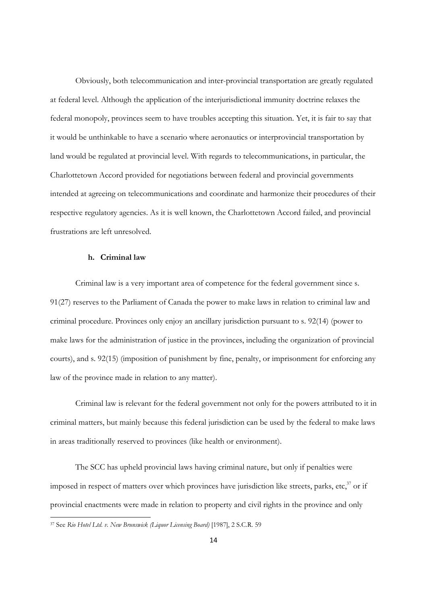Obviously, both telecommunication and inter-provincial transportation are greatly regulated at federal level. Although the application of the interjurisdictional immunity doctrine relaxes the federal monopoly, provinces seem to have troubles accepting this situation. Yet, it is fair to say that it would be unthinkable to have a scenario where aeronautics or interprovincial transportation by land would be regulated at provincial level. With regards to telecommunications, in particular, the Charlottetown Accord provided for negotiations between federal and provincial governments intended at agreeing on telecommunications and coordinate and harmonize their procedures of their respective regulatory agencies. As it is well known, the Charlottetown Accord failed, and provincial frustrations are left unresolved.

#### **h. Criminal law**

Criminal law is a very important area of competence for the federal government since s. 91(27) reserves to the Parliament of Canada the power to make laws in relation to criminal law and criminal procedure. Provinces only enjoy an ancillary jurisdiction pursuant to s. 92(14) (power to make laws for the administration of justice in the provinces, including the organization of provincial courts), and s. 92(15) (imposition of punishment by fine, penalty, or imprisonment for enforcing any law of the province made in relation to any matter).

Criminal law is relevant for the federal government not only for the powers attributed to it in criminal matters, but mainly because this federal jurisdiction can be used by the federal to make laws in areas traditionally reserved to provinces (like health or environment).

The SCC has upheld provincial laws having criminal nature, but only if penalties were imposed in respect of matters over which provinces have jurisdiction like streets, parks, etc, $37$  or if provincial enactments were made in relation to property and civil rights in the province and only

<sup>37</sup> See *Rio Hotel Ltd. v. New Brunswick (Liquor Licensing Board)* [1987], 2 S.C.R. 59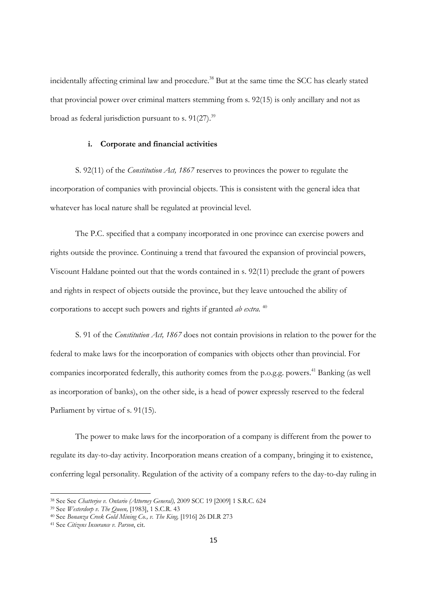incidentally affecting criminal law and procedure.<sup>38</sup> But at the same time the SCC has clearly stated that provincial power over criminal matters stemming from s. 92(15) is only ancillary and not as broad as federal jurisdiction pursuant to s.  $91(27)$ .<sup>39</sup>

#### **i. Corporate and financial activities**

S. 92(11) of the *Constitution Act, 1867* reserves to provinces the power to regulate the incorporation of companies with provincial objects. This is consistent with the general idea that whatever has local nature shall be regulated at provincial level.

The P.C. specified that a company incorporated in one province can exercise powers and rights outside the province. Continuing a trend that favoured the expansion of provincial powers, Viscount Haldane pointed out that the words contained in s. 92(11) preclude the grant of powers and rights in respect of objects outside the province, but they leave untouched the ability of corporations to accept such powers and rights if granted *ab extra*. 40

S. 91 of the *Constitution Act, 1867* does not contain provisions in relation to the power for the federal to make laws for the incorporation of companies with objects other than provincial. For companies incorporated federally, this authority comes from the p.o.g.g. powers.<sup>41</sup> Banking (as well as incorporation of banks), on the other side, is a head of power expressly reserved to the federal Parliament by virtue of s. 91(15).

The power to make laws for the incorporation of a company is different from the power to regulate its day-to-day activity. Incorporation means creation of a company, bringing it to existence, conferring legal personality. Regulation of the activity of a company refers to the day-to-day ruling in

<sup>&</sup>lt;sup>38</sup> See See Chatterjee v. Ontario (Attorney General), 2009 SCC 19 [2009] 1 S.R.C. 624

<sup>&</sup>lt;sup>39</sup> See *Westerdorp v. The Queen*,  $[1983]$ ,  $1$  S.C.R.  $43$ <br><sup>40</sup> See *Bonanza Creek Gold Mining Co., v. The King*,  $[1916]$  26 DLR 273<br><sup>41</sup> See *Citizens Insurance v. Parson*, cit.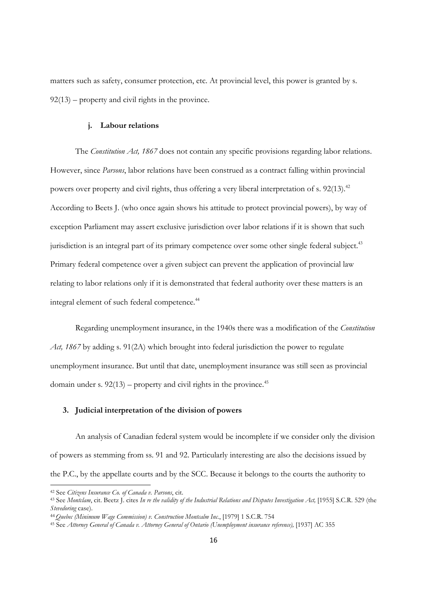matters such as safety, consumer protection, etc. At provincial level, this power is granted by s.  $92(13)$  – property and civil rights in the province.

#### **j. Labour relations**

The *Constitution Act, 1867* does not contain any specific provisions regarding labor relations. However, since *Parsons*, labor relations have been construed as a contract falling within provincial powers over property and civil rights, thus offering a very liberal interpretation of s. 92(13).<sup>42</sup> According to Beets J. (who once again shows his attitude to protect provincial powers), by way of exception Parliament may assert exclusive jurisdiction over labor relations if it is shown that such jurisdiction is an integral part of its primary competence over some other single federal subject.<sup>43</sup> Primary federal competence over a given subject can prevent the application of provincial law relating to labor relations only if it is demonstrated that federal authority over these matters is an integral element of such federal competence.<sup>44</sup>

Regarding unemployment insurance, in the 1940s there was a modification of the *Constitution Act, 1867* by adding s. 91(2A) which brought into federal jurisdiction the power to regulate unemployment insurance. But until that date, unemployment insurance was still seen as provincial domain under s.  $92(13)$  – property and civil rights in the province.<sup>45</sup>

## **3. Judicial interpretation of the division of powers**

An analysis of Canadian federal system would be incomplete if we consider only the division of powers as stemming from ss. 91 and 92. Particularly interesting are also the decisions issued by the P.C., by the appellate courts and by the SCC. Because it belongs to the courts the authority to

<sup>42</sup> See *Citizens Insurance Co. of Canada v. Parsons*, cit.<br><sup>43</sup> See *Montclam*, cit. Beetz J. cites *In re the validity of the Industrial Relations and Disputes Investigation Act*, [1955] S.C.R. 529 (the Stevedoring case).<br><sup>44</sup> Quebec (Minimum Wage Commission) v. Construction Montcalm Inc., [1979] 1 S.C.R. 754<br><sup>45</sup> See Attorney General of Canada v. Attorney General of Ontario (Unemployment insurance reference), [1937] AC 3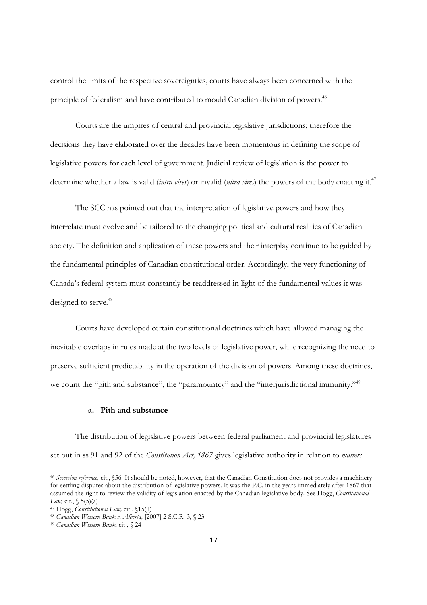control the limits of the respective sovereignties, courts have always been concerned with the principle of federalism and have contributed to mould Canadian division of powers.<sup>46</sup>

Courts are the umpires of central and provincial legislative jurisdictions; therefore the decisions they have elaborated over the decades have been momentous in defining the scope of legislative powers for each level of government. Judicial review of legislation is the power to determine whether a law is valid (*intra vires*) or invalid (*ultra vires*) the powers of the body enacting it*.* 47

The SCC has pointed out that the interpretation of legislative powers and how they interrelate must evolve and be tailored to the changing political and cultural realities of Canadian society. The definition and application of these powers and their interplay continue to be guided by the fundamental principles of Canadian constitutional order. Accordingly, the very functioning of Canada's federal system must constantly be readdressed in light of the fundamental values it was designed to serve.<sup>48</sup>

Courts have developed certain constitutional doctrines which have allowed managing the inevitable overlaps in rules made at the two levels of legislative power, while recognizing the need to preserve sufficient predictability in the operation of the division of powers. Among these doctrines, we count the "pith and substance", the "paramountcy" and the "interjurisdictional immunity."<sup>49</sup>

## **a. Pith and substance**

The distribution of legislative powers between federal parliament and provincial legislatures set out in ss 91 and 92 of the *Constitution Act, 1867* gives legislative authority in relation to *matters* 

<sup>46</sup> *Secession reference,* cit., §56. It should be noted, however, that the Canadian Constitution does not provides a machinery for settling disputes about the distribution of legislative powers. It was the P.C. in the years immediately after 1867 that assumed the right to review the validity of legislation enacted by the Canadian legislative body. See Hogg, *Constitutional* 

*Law,* cit., § 5(5)(a)<br><sup>47</sup> Hogg, *Constitutional Law,* cit., §15(1)<br><sup>48</sup> *Canadian Western Bank v. Alberta*, [2007] 2 S.C.R. 3, § 23<br><sup>49</sup> *Canadian Western Bank*, cit., § 24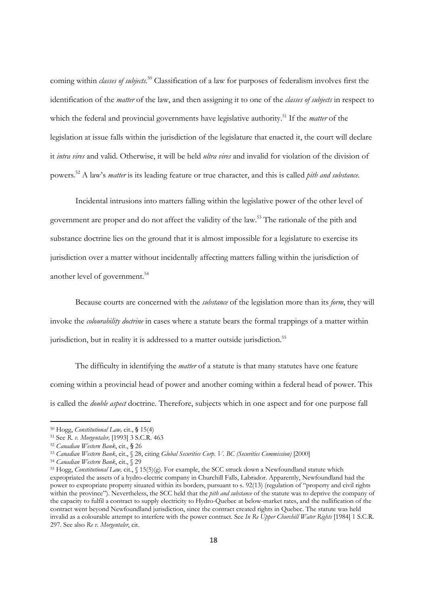coming within *classes of subjects.*<sup>50</sup> Classification of a law for purposes of federalism involves first the identification of the *matter* of the law, and then assigning it to one of the *classes of subjects* in respect to which the federal and provincial governments have legislative authority.<sup>51</sup> If the *matter* of the legislation at issue falls within the jurisdiction of the legislature that enacted it, the court will declare it *intra vires* and valid. Otherwise, it will be held *ultra vires* and invalid for violation of the division of powers.52 A law's *matter* is its leading feature or true character, and this is called *pith and substance*.

Incidental intrusions into matters falling within the legislative power of the other level of government are proper and do not affect the validity of the law.53 The rationale of the pith and substance doctrine lies on the ground that it is almost impossible for a legislature to exercise its jurisdiction over a matter without incidentally affecting matters falling within the jurisdiction of another level of government.<sup>54</sup>

Because courts are concerned with the *substance* of the legislation more than its *form*, they will invoke the *colourability doctrine* in cases where a statute bears the formal trappings of a matter within jurisdiction, but in reality it is addressed to a matter outside jurisdiction.<sup>55</sup>

The difficulty in identifying the *matter* of a statute is that many statutes have one feature coming within a provincial head of power and another coming within a federal head of power. This is called the *double aspect* doctrine. Therefore, subjects which in one aspect and for one purpose fall

<sup>&</sup>lt;sup>50</sup> Hogg, *Constitutional Law,* cit., § 15(4)<br><sup>51</sup> See R. *v. Morgentaler*, [1993] 3 S.C.R. 463<br><sup>52</sup> Canadian Western Bank, cit., § 26<br><sup>53</sup> Canadian Western Bank, cit., § 28, citing *Global Securities Corp. V*. BC (*Secu* expropriated the assets of a hydro-electric company in Churchill Falls, Labrador. Apparently, Newfoundland had the power to expropriate property situated within its borders, pursuant to s. 92(13) (regulation of "property and civil rights within the province"). Nevertheless, the SCC held that the *pith and substance* of the statute was to deprive the company of the capacity to fulfil a contract to supply electricity to Hydro-Quebec at below-market rates, and the nullification of the contract went beyond Newfoundland jurisdiction, since the contract created rights in Quebec. The statute was held invalid as a colourable attempt to interfere with the power contract. See *In Re Upper Churchill Water Rights* [1984] 1 S.C.R. 297. See also *Re v. Morgentaler*, cit.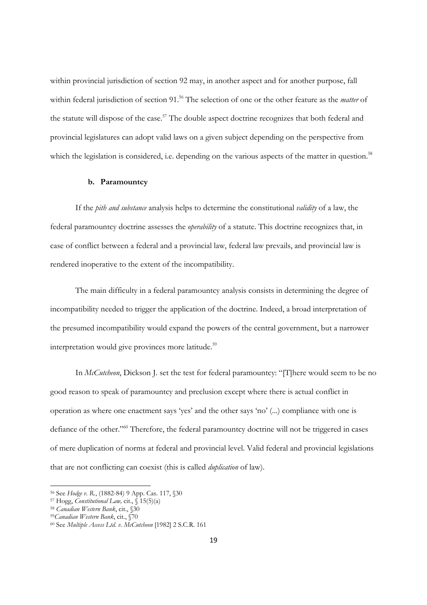within provincial jurisdiction of section 92 may, in another aspect and for another purpose, fall within federal jurisdiction of section 91.56 The selection of one or the other feature as the *matter* of the statute will dispose of the case.<sup>57</sup> The double aspect doctrine recognizes that both federal and provincial legislatures can adopt valid laws on a given subject depending on the perspective from which the legislation is considered, i.e. depending on the various aspects of the matter in question.<sup>58</sup>

## **b. Paramountcy**

If the *pith and substance* analysis helps to determine the constitutional *validity* of a law, the federal paramountcy doctrine assesses the *operability* of a statute. This doctrine recognizes that, in case of conflict between a federal and a provincial law, federal law prevails, and provincial law is rendered inoperative to the extent of the incompatibility.

The main difficulty in a federal paramountcy analysis consists in determining the degree of incompatibility needed to trigger the application of the doctrine. Indeed, a broad interpretation of the presumed incompatibility would expand the powers of the central government, but a narrower interpretation would give provinces more latitude.<sup>59</sup>

In *McCutcheon*, Dickson J. set the test for federal paramountcy: "[T]here would seem to be no good reason to speak of paramountcy and preclusion except where there is actual conflict in operation as where one enactment says 'yes' and the other says 'no' (...) compliance with one is defiance of the other."60 Therefore, the federal paramountcy doctrine will not be triggered in cases of mere duplication of norms at federal and provincial level. Valid federal and provincial legislations that are not conflicting can coexist (this is called *duplication* of law).

<sup>&</sup>lt;sup>56</sup> See Hodge v. R., (1882-84) 9 App. Cas. 117, §30<br><sup>57</sup> Hogg, *Constitutional Law*, cit., § 15(5)(a)<br><sup>58</sup> Canadian Western Bank, cit., §30<br><sup>59</sup> Canadian Western Bank, cit., §70<br><sup>60</sup> See Multiple Access Ltd. v. McCutcheo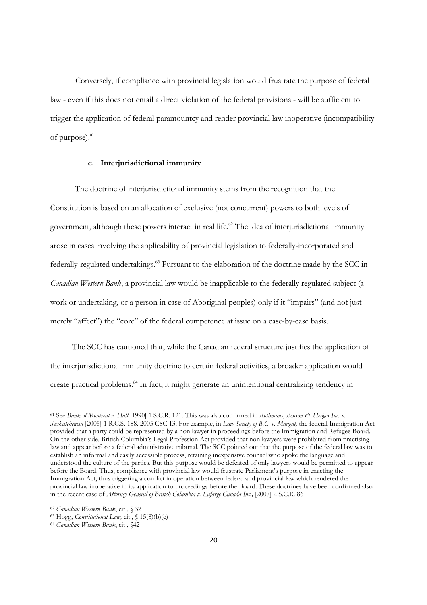Conversely, if compliance with provincial legislation would frustrate the purpose of federal law - even if this does not entail a direct violation of the federal provisions - will be sufficient to trigger the application of federal paramountcy and render provincial law inoperative (incompatibility of purpose).<sup>61</sup>

## **c. Interjurisdictional immunity**

 The doctrine of interjurisdictional immunity stems from the recognition that the Constitution is based on an allocation of exclusive (not concurrent) powers to both levels of government, although these powers interact in real life.<sup>62</sup> The idea of interjurisdictional immunity arose in cases involving the applicability of provincial legislation to federally-incorporated and federally-regulated undertakings.<sup>63</sup> Pursuant to the elaboration of the doctrine made by the SCC in *Canadian Western Bank*, a provincial law would be inapplicable to the federally regulated subject (a work or undertaking, or a person in case of Aboriginal peoples) only if it "impairs" (and not just merely "affect") the "core" of the federal competence at issue on a case-by-case basis.

 The SCC has cautioned that, while the Canadian federal structure justifies the application of the interjurisdictional immunity doctrine to certain federal activities, a broader application would create practical problems.64 In fact, it might generate an unintentional centralizing tendency in

<sup>61</sup> See *Bank of Montreal v. Hall* [1990] 1 S.C.R. 121. This was also confirmed in *Rothmans, Benson & Hedges Inc. v. Saskatchewan* [2005] 1 R.C.S. 188. 2005 CSC 13. For example, in *Law Society of B.C. v. Mangat,* the federal Immigration Act provided that a party could be represented by a non lawyer in proceedings before the Immigration and Refugee Board. On the other side, British Columbia's Legal Profession Act provided that non lawyers were prohibited from practising law and appear before a federal administrative tribunal. The SCC pointed out that the purpose of the federal law was to establish an informal and easily accessible process, retaining inexpensive counsel who spoke the language and understood the culture of the parties. But this purpose would be defeated of only lawyers would be permitted to appear before the Board. Thus, compliance with provincial law would frustrate Parliament's purpose in enacting the Immigration Act, thus triggering a conflict in operation between federal and provincial law which rendered the provincial law inoperative in its application to proceedings before the Board. These doctrines have been confirmed also in the recent case of *Attorney General of British Columbia v. Lafarge Canada Inc.*, [2007] 2 S.C.R. 86

<sup>62</sup> *Canadian Western Bank*, cit., § 32 63 Hogg, *Constitutional Law,* cit., § 15(8)(b)(c) 64 *Canadian Western Bank*, cit., §42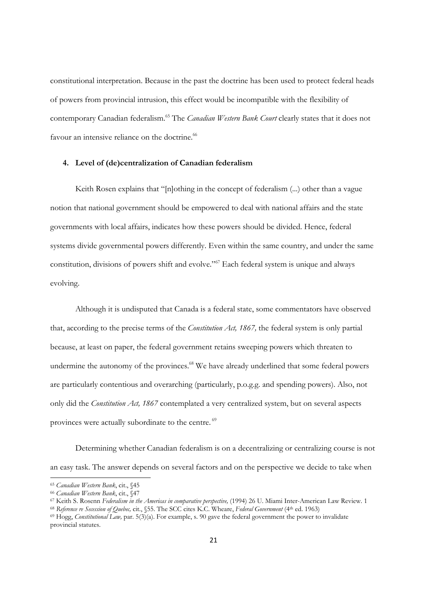constitutional interpretation. Because in the past the doctrine has been used to protect federal heads of powers from provincial intrusion, this effect would be incompatible with the flexibility of contemporary Canadian federalism.65 The *Canadian Western Bank Court* clearly states that it does not favour an intensive reliance on the doctrine.<sup>66</sup>

## **4. Level of (de)centralization of Canadian federalism**

Keith Rosen explains that "[n]othing in the concept of federalism (...) other than a vague notion that national government should be empowered to deal with national affairs and the state governments with local affairs, indicates how these powers should be divided. Hence, federal systems divide governmental powers differently. Even within the same country, and under the same constitution, divisions of powers shift and evolve."<sup>67</sup> Each federal system is unique and always evolving.

Although it is undisputed that Canada is a federal state, some commentators have observed that, according to the precise terms of the *Constitution Act, 1867,* the federal system is only partial because, at least on paper, the federal government retains sweeping powers which threaten to undermine the autonomy of the provinces.<sup>68</sup> We have already underlined that some federal powers are particularly contentious and overarching (particularly, p.o.g.g. and spending powers). Also, not only did the *Constitution Act, 1867* contemplated a very centralized system, but on several aspects provinces were actually subordinate to the centre. <sup>69</sup>

Determining whether Canadian federalism is on a decentralizing or centralizing course is not an easy task. The answer depends on several factors and on the perspective we decide to take when

<sup>&</sup>lt;sup>65</sup> Canadian Western Bank, cit., §45<br><sup>66</sup> Canadian Western Bank, cit., §47<br><sup>67</sup> Keith S. Rosenn *Federalism in the Americas in comparative perspective*, (1994) 26 U. Miami Inter-American Law Review. 1<br><sup>67</sup> Keith S. Rosenn

provincial statutes.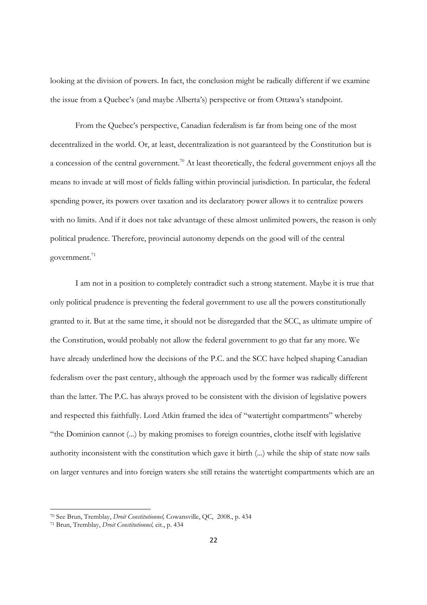looking at the division of powers. In fact, the conclusion might be radically different if we examine the issue from a Quebec's (and maybe Alberta's) perspective or from Ottawa's standpoint.

From the Quebec's perspective, Canadian federalism is far from being one of the most decentralized in the world. Or, at least, decentralization is not guaranteed by the Constitution but is a concession of the central government.70 At least theoretically, the federal government enjoys all the means to invade at will most of fields falling within provincial jurisdiction. In particular, the federal spending power, its powers over taxation and its declaratory power allows it to centralize powers with no limits. And if it does not take advantage of these almost unlimited powers, the reason is only political prudence. Therefore, provincial autonomy depends on the good will of the central government.<sup>71</sup>

I am not in a position to completely contradict such a strong statement. Maybe it is true that only political prudence is preventing the federal government to use all the powers constitutionally granted to it. But at the same time, it should not be disregarded that the SCC, as ultimate umpire of the Constitution, would probably not allow the federal government to go that far any more. We have already underlined how the decisions of the P.C. and the SCC have helped shaping Canadian federalism over the past century, although the approach used by the former was radically different than the latter. The P.C. has always proved to be consistent with the division of legislative powers and respected this faithfully. Lord Atkin framed the idea of "watertight compartments" whereby "the Dominion cannot (...) by making promises to foreign countries, clothe itself with legislative authority inconsistent with the constitution which gave it birth (...) while the ship of state now sails on larger ventures and into foreign waters she still retains the watertight compartments which are an

<sup>70</sup> See Brun, Tremblay, *Droit Constitutionnel,* Cowansville, QC, 2008., p. 434 71 Brun, Tremblay, *Droit Constitutionnel,* cit., p. 434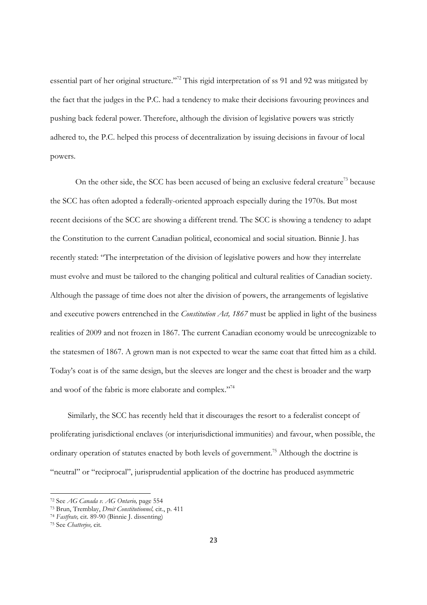essential part of her original structure."<sup>72</sup> This rigid interpretation of ss 91 and 92 was mitigated by the fact that the judges in the P.C. had a tendency to make their decisions favouring provinces and pushing back federal power. Therefore, although the division of legislative powers was strictly adhered to, the P.C. helped this process of decentralization by issuing decisions in favour of local powers.

On the other side, the SCC has been accused of being an exclusive federal creature<sup>73</sup> because the SCC has often adopted a federally-oriented approach especially during the 1970s. But most recent decisions of the SCC are showing a different trend. The SCC is showing a tendency to adapt the Constitution to the current Canadian political, economical and social situation. Binnie J. has recently stated: "The interpretation of the division of legislative powers and how they interrelate must evolve and must be tailored to the changing political and cultural realities of Canadian society. Although the passage of time does not alter the division of powers, the arrangements of legislative and executive powers entrenched in the *Constitution Act, 1867* must be applied in light of the business realities of 2009 and not frozen in 1867. The current Canadian economy would be unrecognizable to the statesmen of 1867. A grown man is not expected to wear the same coat that fitted him as a child. Today's coat is of the same design, but the sleeves are longer and the chest is broader and the warp and woof of the fabric is more elaborate and complex."74

 Similarly, the SCC has recently held that it discourages the resort to a federalist concept of proliferating jurisdictional enclaves (or interjurisdictional immunities) and favour, when possible, the ordinary operation of statutes enacted by both levels of government.75 Although the doctrine is "neutral" or "reciprocal", jurisprudential application of the doctrine has produced asymmetric

<sup>72</sup> See *AG Canada v. AG Ontario,* page 554 73 Brun, Tremblay, *Droit Constitutionnel,* cit., p. 411

<sup>74</sup> *Fastfrate,* cit. 89-90 (Binnie J. dissenting) 75 See *Chatterjee,* cit.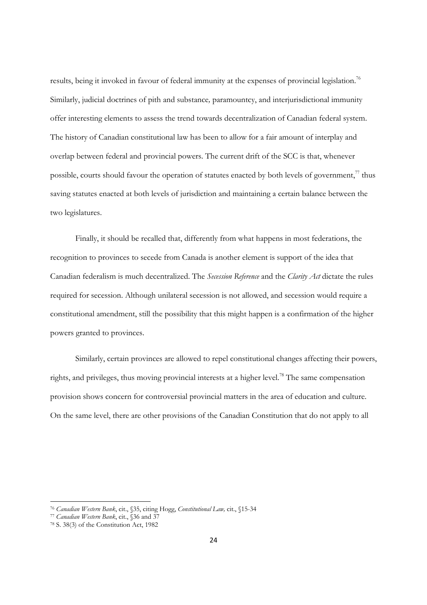results, being it invoked in favour of federal immunity at the expenses of provincial legislation.<sup>76</sup> Similarly, judicial doctrines of pith and substance*,* paramountcy, and interjurisdictional immunity offer interesting elements to assess the trend towards decentralization of Canadian federal system. The history of Canadian constitutional law has been to allow for a fair amount of interplay and overlap between federal and provincial powers. The current drift of the SCC is that, whenever possible, courts should favour the operation of statutes enacted by both levels of government, $\frac{7}{1}$  thus saving statutes enacted at both levels of jurisdiction and maintaining a certain balance between the two legislatures.

Finally, it should be recalled that, differently from what happens in most federations, the recognition to provinces to secede from Canada is another element is support of the idea that Canadian federalism is much decentralized. The *Secession Reference* and the *Clarity Act* dictate the rules required for secession. Although unilateral secession is not allowed, and secession would require a constitutional amendment, still the possibility that this might happen is a confirmation of the higher powers granted to provinces.

Similarly, certain provinces are allowed to repel constitutional changes affecting their powers, rights, and privileges, thus moving provincial interests at a higher level.78 The same compensation provision shows concern for controversial provincial matters in the area of education and culture. On the same level, there are other provisions of the Canadian Constitution that do not apply to all

<sup>76</sup> *Canadian Western Bank*, cit., §35, citing Hogg, *Constitutional Law,* cit., §15-34 77 *Canadian Western Bank*, cit., §36 and 37 78 S. 38(3) of the Constitution Act, 1982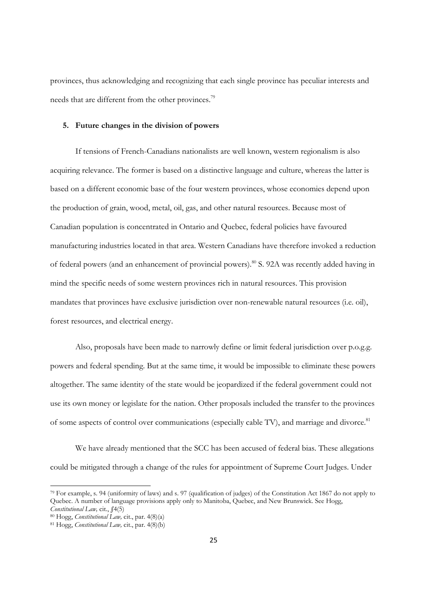provinces, thus acknowledging and recognizing that each single province has peculiar interests and needs that are different from the other provinces.<sup>79</sup>

#### **5. Future changes in the division of powers**

If tensions of French-Canadians nationalists are well known, western regionalism is also acquiring relevance. The former is based on a distinctive language and culture, whereas the latter is based on a different economic base of the four western provinces, whose economies depend upon the production of grain, wood, metal, oil, gas, and other natural resources. Because most of Canadian population is concentrated in Ontario and Quebec, federal policies have favoured manufacturing industries located in that area. Western Canadians have therefore invoked a reduction of federal powers (and an enhancement of provincial powers).<sup>80</sup> S. 92A was recently added having in mind the specific needs of some western provinces rich in natural resources. This provision mandates that provinces have exclusive jurisdiction over non-renewable natural resources (i.e. oil), forest resources, and electrical energy.

Also, proposals have been made to narrowly define or limit federal jurisdiction over p.o.g.g. powers and federal spending. But at the same time, it would be impossible to eliminate these powers altogether. The same identity of the state would be jeopardized if the federal government could not use its own money or legislate for the nation. Other proposals included the transfer to the provinces of some aspects of control over communications (especially cable TV), and marriage and divorce.<sup>81</sup>

We have already mentioned that the SCC has been accused of federal bias. These allegations could be mitigated through a change of the rules for appointment of Supreme Court Judges. Under

<sup>79</sup> For example, s. 94 (uniformity of laws) and s. 97 (qualification of judges) of the Constitution Act 1867 do not apply to Quebec. A number of language provisions apply only to Manitoba, Quebec, and New Brunswick. See Hogg, Constitutional Law, cit.,  $[4(5)$ 

*Constitutional Law,* cit., *§*4(5) 80 Hogg, *Constitutional Law,* cit., par. 4(8)(a) 81 Hogg, *Constitutional Law,* cit., par. 4(8)(b)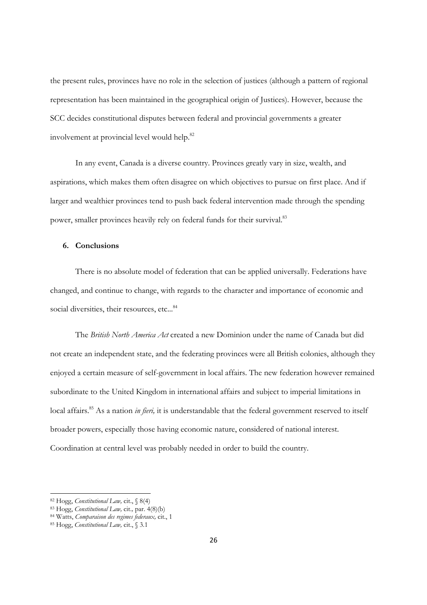the present rules, provinces have no role in the selection of justices (although a pattern of regional representation has been maintained in the geographical origin of Justices). However, because the SCC decides constitutional disputes between federal and provincial governments a greater involvement at provincial level would help.<sup>82</sup>

In any event, Canada is a diverse country. Provinces greatly vary in size, wealth, and aspirations, which makes them often disagree on which objectives to pursue on first place. And if larger and wealthier provinces tend to push back federal intervention made through the spending power, smaller provinces heavily rely on federal funds for their survival.<sup>83</sup>

# **6. Conclusions**

There is no absolute model of federation that can be applied universally. Federations have changed, and continue to change, with regards to the character and importance of economic and social diversities, their resources, etc...<sup>84</sup>

The *British North America Act* created a new Dominion under the name of Canada but did not create an independent state, and the federating provinces were all British colonies, although they enjoyed a certain measure of self-government in local affairs. The new federation however remained subordinate to the United Kingdom in international affairs and subject to imperial limitations in local affairs.<sup>85</sup> As a nation *in fieri*, it is understandable that the federal government reserved to itself broader powers, especially those having economic nature, considered of national interest. Coordination at central level was probably needed in order to build the country.

<sup>82</sup> Hogg, *Constitutional Law,* cit., § 8(4) 83 Hogg, *Constitutional Law,* cit.*,* par. 4(8)(b) 84 Watts, *Comparaison des regimes federaux,* cit., 1 85 Hogg, *Constitutional Law,* cit., § 3.1